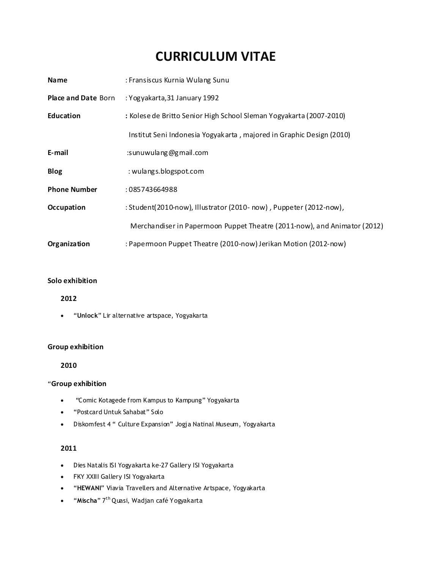# **CURRICULUM VITAE**

| <b>Name</b>                | : Fransiscus Kurnia Wulang Sunu                                          |
|----------------------------|--------------------------------------------------------------------------|
| <b>Place and Date Born</b> | : Yogyakarta, 31 January 1992                                            |
| <b>Education</b>           | : Kolese de Britto Senior High School Sleman Yogyakarta (2007-2010)      |
|                            | Institut Seni Indonesia Yogyakarta, majored in Graphic Design (2010)     |
| E-mail                     | : sunuwulang@gmail.com                                                   |
| <b>Blog</b>                | : wulangs.blogspot.com                                                   |
| <b>Phone Number</b>        | : 085743664988                                                           |
| Occupation                 | : Student(2010-now), Illustrator (2010-now), Puppeter (2012-now),        |
|                            | Merchandiser in Papermoon Puppet Theatre (2011-now), and Animator (2012) |
| Organization               | : Papermoon Puppet Theatre (2010-now) Jerikan Motion (2012-now)          |

## **Solo exhibition**

#### **2012**

·"**Unlock**" Lir alternative artspace, Yogyakarta

### **Group exhibition**

**2010**

#### "**Group exhibition**

- ·"Comic Kotagede from Kampus to Kampung" Yogyakarta
- ·"Postcard Untuk Sahabat" Solo
- ·Diskomfest 4 " Culture Expansion" Jogja Natinal Museum, Yogyakarta

## **2011**

- ·Dies Natalis ISI Yogyakarta ke-27 Gallery ISI Yogyakarta
- ·FKY XXIII Gallery ISI Yogyakarta
- ·"**HEWANI**" Viavia Travellers and Alternative Artspace, Yogyakarta
- ·"**Mischa**" 7 th Quasi, Wadjan café Yogyakarta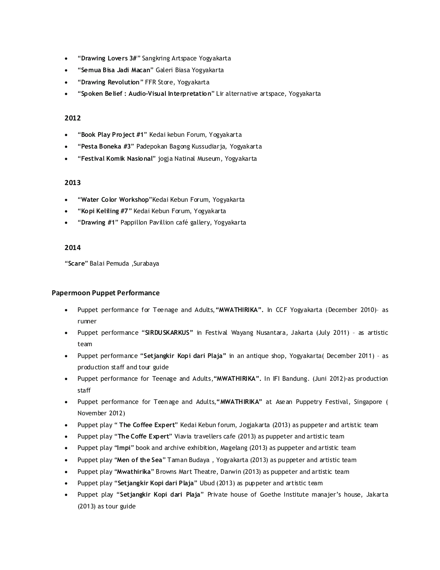- ·"**Drawing Lovers 3#**" Sangkring Artspace Yogyakarta
- ·"**Semua Bisa Jadi Macan**" Galeri Biasa Yogyakarta
- ·"**Drawing Revolution**" FFR Store, Yogyakarta
- ·"**Spoken Belief : Audio-Visual Interpretation**" Lir alternative artspace, Yogyakarta

#### **2012**

- ·"**Book Play Project #1**" Kedai kebun Forum, Yogyakarta
- ·"**Pesta Boneka #3**" Padepokan Bagong Kussudiarja, Yogyakarta
- ·"**Festival Komik Nasional**" jogja Natinal Museum, Yogyakarta

#### **2013**

- ·"**Water Color Workshop**"Kedai Kebun Forum, Yogyakarta
- ·"**Kopi Keliling #7**" Kedai Kebun Forum, Yogyakarta
- ·"**Drawing #1**" Pappillon Pavillion café gallery, Yogyakarta

#### **2014**

"**Scare**" Balai Pemuda ,Surabaya

#### **Papermoon Puppet Performance**

- ·Puppet performance for Teenage and Adults,**"MWATHIRIKA".** In CCF Yogyakarta (December 2010)– as runner
- ·Puppet performance "**SIRDUSKARKUS"** in Festival Wayang Nusantara, Jakarta (July 2011) as artistic team
- ·Puppet performance "**Setjangkir Kopi dari Plaja"** in an antique shop, Yogyakarta( December 2011) as production staff and tour guide
- ·Puppet performance for Teenage and Adults,**"MWATHIRIKA".** In IFI Bandung. (Juni 2012)-as production staff
- ·Puppet performance for Teenage and Adults,**"MWATHIRIKA"** at Asean Puppetry Festival, Singapore ( November 2012)
- ·Puppet play " **The Coffee Expert**" Kedai Kebun forum, Jogjakarta (2013) as puppeter and artistic team
- ·Puppet play "**The Coffe Expert**" Viavia travellers cafe (2013) as puppeter and artistic team
- ·Puppet play "**Impi**" book and archive exhibition, Magelang (2013) as puppeter and artistic team
- ·Puppet play "**Men of the Sea**" Taman Budaya , Yogyakarta (2013) as puppeter and artistic team
- ·Puppet play "**Mwathirika**" Browns Mart Theatre, Darwin (2013) as puppeter and artistic team
- ·Puppet play "**Setjangkir Kopi dari Plaja**" Ubud (2013) as puppeter and artistic team
- ·Puppet play "**Setjangkir Kopi dari Plaja**" Private house of Goethe Institute manajer's house, Jakarta (2013) as tour guide